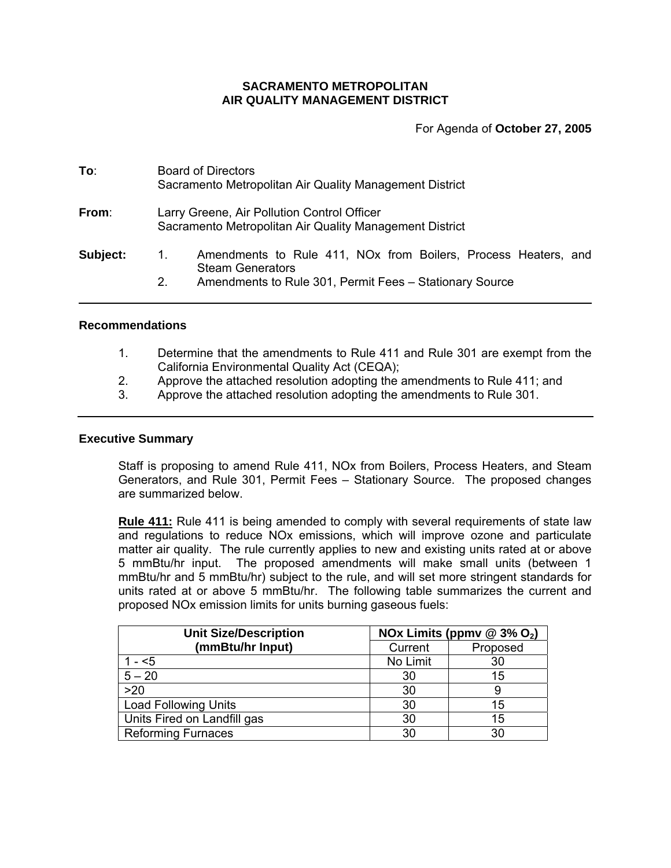# **SACRAMENTO METROPOLITAN AIR QUALITY MANAGEMENT DISTRICT**

For Agenda of **October 27, 2005**

| To:      | <b>Board of Directors</b><br>Sacramento Metropolitan Air Quality Management District                                                                                         |
|----------|------------------------------------------------------------------------------------------------------------------------------------------------------------------------------|
| From:    | Larry Greene, Air Pollution Control Officer<br>Sacramento Metropolitan Air Quality Management District                                                                       |
| Subject: | Amendments to Rule 411, NO <sub>x</sub> from Boilers, Process Heaters, and<br>1.<br><b>Steam Generators</b><br>Amendments to Rule 301, Permit Fees - Stationary Source<br>2. |

# **Recommendations**

- 1. Determine that the amendments to Rule 411 and Rule 301 are exempt from the California Environmental Quality Act (CEQA);
- 2. Approve the attached resolution adopting the amendments to Rule 411; and
- 3. Approve the attached resolution adopting the amendments to Rule 301.

### **Executive Summary**

Staff is proposing to amend Rule 411, NOx from Boilers, Process Heaters, and Steam Generators, and Rule 301, Permit Fees – Stationary Source. The proposed changes are summarized below.

**Rule 411:** Rule 411 is being amended to comply with several requirements of state law and regulations to reduce NOx emissions, which will improve ozone and particulate matter air quality. The rule currently applies to new and existing units rated at or above 5 mmBtu/hr input. The proposed amendments will make small units (between 1 mmBtu/hr and 5 mmBtu/hr) subject to the rule, and will set more stringent standards for units rated at or above 5 mmBtu/hr. The following table summarizes the current and proposed NOx emission limits for units burning gaseous fuels:

| <b>Unit Size/Description</b> | NOx Limits (ppmv $@3\%$ O <sub>2</sub> ) |          |  |
|------------------------------|------------------------------------------|----------|--|
| (mmBtu/hr Input)             | Current                                  | Proposed |  |
| $1 - 5$                      | No Limit                                 | 30       |  |
| $5 - 20$                     | 30                                       | 15       |  |
| >20                          | 30                                       |          |  |
| <b>Load Following Units</b>  | 30                                       | 15       |  |
| Units Fired on Landfill gas  | 30                                       | 15       |  |
| <b>Reforming Furnaces</b>    | 30                                       | 30       |  |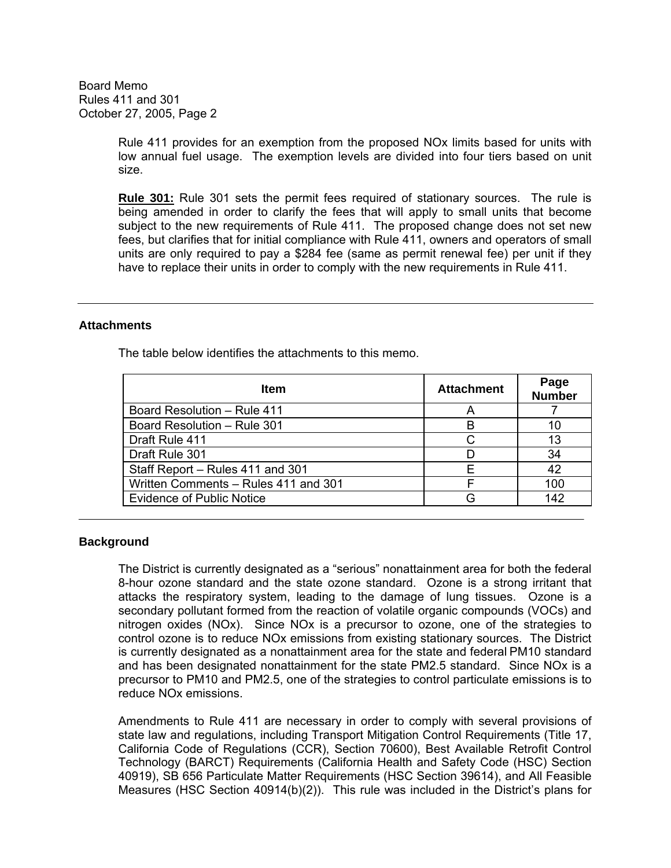> Rule 411 provides for an exemption from the proposed NOx limits based for units with low annual fuel usage. The exemption levels are divided into four tiers based on unit size.

> **Rule 301:** Rule 301 sets the permit fees required of stationary sources. The rule is being amended in order to clarify the fees that will apply to small units that become subject to the new requirements of Rule 411. The proposed change does not set new fees, but clarifies that for initial compliance with Rule 411, owners and operators of small units are only required to pay a \$284 fee (same as permit renewal fee) per unit if they have to replace their units in order to comply with the new requirements in Rule 411.

## **Attachments**

The table below identifies the attachments to this memo.

| <b>Item</b>                          | <b>Attachment</b> | Page<br><b>Number</b> |
|--------------------------------------|-------------------|-----------------------|
| Board Resolution - Rule 411          |                   |                       |
| Board Resolution - Rule 301          | R                 | 10                    |
| Draft Rule 411                       |                   | 13                    |
| Draft Rule 301                       |                   | 34                    |
| Staff Report - Rules 411 and 301     | F                 | 42                    |
| Written Comments - Rules 411 and 301 |                   | 100                   |
| <b>Evidence of Public Notice</b>     |                   | 142                   |

#### **Background**

The District is currently designated as a "serious" nonattainment area for both the federal 8-hour ozone standard and the state ozone standard. Ozone is a strong irritant that attacks the respiratory system, leading to the damage of lung tissues. Ozone is a secondary pollutant formed from the reaction of volatile organic compounds (VOCs) and nitrogen oxides (NOx). Since NOx is a precursor to ozone, one of the strategies to control ozone is to reduce NOx emissions from existing stationary sources. The District is currently designated as a nonattainment area for the state and federal PM10 standard and has been designated nonattainment for the state PM2.5 standard. Since NOx is a precursor to PM10 and PM2.5, one of the strategies to control particulate emissions is to reduce NOx emissions.

Amendments to Rule 411 are necessary in order to comply with several provisions of state law and regulations, including Transport Mitigation Control Requirements (Title 17, California Code of Regulations (CCR), Section 70600), Best Available Retrofit Control Technology (BARCT) Requirements (California Health and Safety Code (HSC) Section 40919), SB 656 Particulate Matter Requirements (HSC Section 39614), and All Feasible Measures (HSC Section 40914(b)(2)). This rule was included in the District's plans for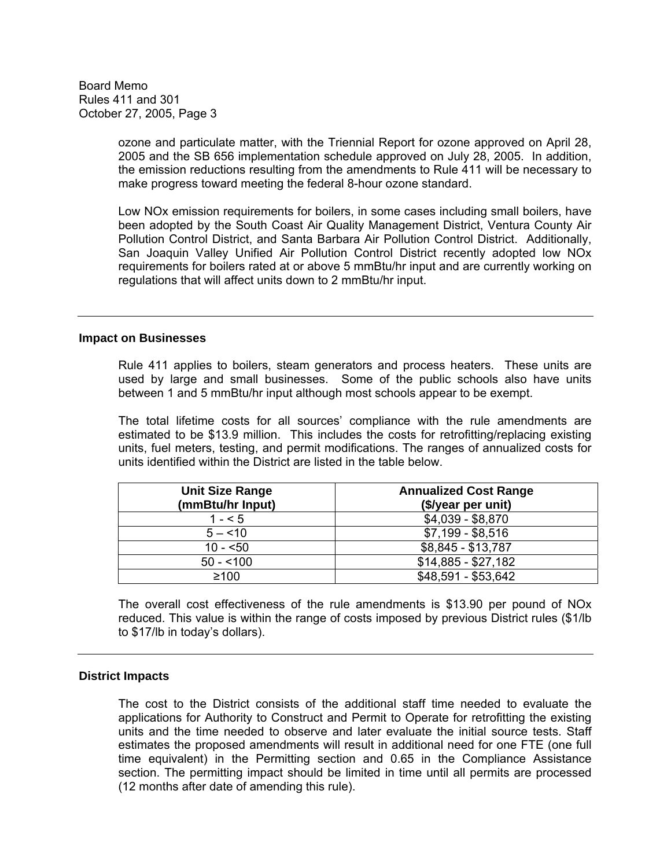> ozone and particulate matter, with the Triennial Report for ozone approved on April 28, 2005 and the SB 656 implementation schedule approved on July 28, 2005. In addition, the emission reductions resulting from the amendments to Rule 411 will be necessary to make progress toward meeting the federal 8-hour ozone standard.

> Low NOx emission requirements for boilers, in some cases including small boilers, have been adopted by the South Coast Air Quality Management District, Ventura County Air Pollution Control District, and Santa Barbara Air Pollution Control District. Additionally, San Joaquin Valley Unified Air Pollution Control District recently adopted low NOx requirements for boilers rated at or above 5 mmBtu/hr input and are currently working on regulations that will affect units down to 2 mmBtu/hr input.

### **Impact on Businesses**

Rule 411 applies to boilers, steam generators and process heaters. These units are used by large and small businesses. Some of the public schools also have units between 1 and 5 mmBtu/hr input although most schools appear to be exempt.

The total lifetime costs for all sources' compliance with the rule amendments are estimated to be \$13.9 million. This includes the costs for retrofitting/replacing existing units, fuel meters, testing, and permit modifications. The ranges of annualized costs for units identified within the District are listed in the table below.

| <b>Unit Size Range</b><br>(mmBtu/hr Input) | <b>Annualized Cost Range</b><br>(\$/year per unit) |
|--------------------------------------------|----------------------------------------------------|
| $1 - 5$                                    | $$4,039 - $8,870$                                  |
| $5 - 10$                                   | $$7,199 - $8,516$                                  |
| $10 - 50$                                  | \$8,845 - \$13,787                                 |
| $50 - 100$                                 | $$14,885 - $27,182$                                |
| $≥100$                                     | \$48,591 - \$53,642                                |

The overall cost effectiveness of the rule amendments is \$13.90 per pound of NOx reduced. This value is within the range of costs imposed by previous District rules (\$1/lb to \$17/lb in today's dollars).

## **District Impacts**

The cost to the District consists of the additional staff time needed to evaluate the applications for Authority to Construct and Permit to Operate for retrofitting the existing units and the time needed to observe and later evaluate the initial source tests. Staff estimates the proposed amendments will result in additional need for one FTE (one full time equivalent) in the Permitting section and 0.65 in the Compliance Assistance section. The permitting impact should be limited in time until all permits are processed (12 months after date of amending this rule).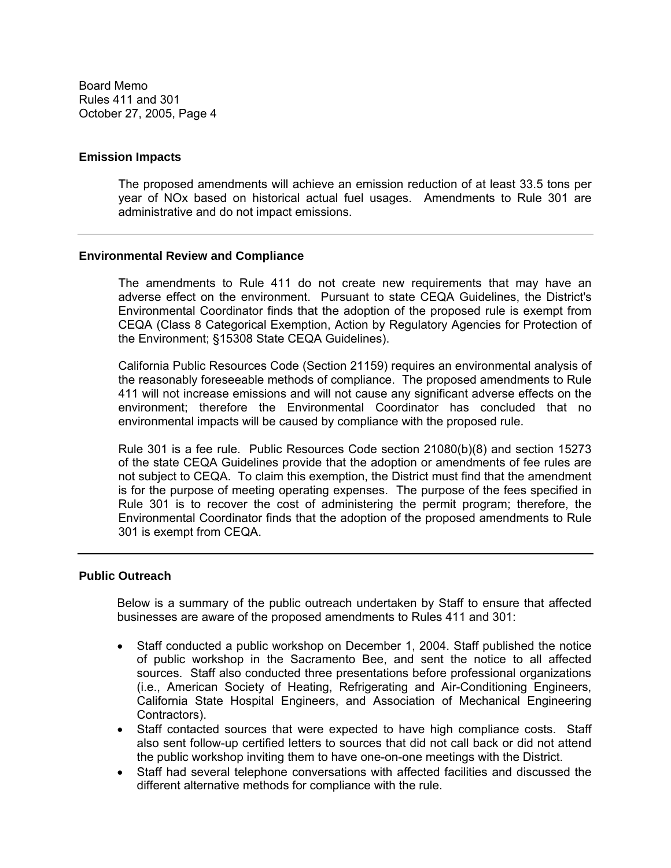### **Emission Impacts**

The proposed amendments will achieve an emission reduction of at least 33.5 tons per year of NOx based on historical actual fuel usages. Amendments to Rule 301 are administrative and do not impact emissions.

### **Environmental Review and Compliance**

The amendments to Rule 411 do not create new requirements that may have an adverse effect on the environment. Pursuant to state CEQA Guidelines, the District's Environmental Coordinator finds that the adoption of the proposed rule is exempt from CEQA (Class 8 Categorical Exemption, Action by Regulatory Agencies for Protection of the Environment; §15308 State CEQA Guidelines).

California Public Resources Code (Section 21159) requires an environmental analysis of the reasonably foreseeable methods of compliance. The proposed amendments to Rule 411 will not increase emissions and will not cause any significant adverse effects on the environment; therefore the Environmental Coordinator has concluded that no environmental impacts will be caused by compliance with the proposed rule.

Rule 301 is a fee rule. Public Resources Code section 21080(b)(8) and section 15273 of the state CEQA Guidelines provide that the adoption or amendments of fee rules are not subject to CEQA. To claim this exemption, the District must find that the amendment is for the purpose of meeting operating expenses. The purpose of the fees specified in Rule 301 is to recover the cost of administering the permit program; therefore, the Environmental Coordinator finds that the adoption of the proposed amendments to Rule 301 is exempt from CEQA.

#### **Public Outreach**

Below is a summary of the public outreach undertaken by Staff to ensure that affected businesses are aware of the proposed amendments to Rules 411 and 301:

- Staff conducted a public workshop on December 1, 2004. Staff published the notice of public workshop in the Sacramento Bee, and sent the notice to all affected sources. Staff also conducted three presentations before professional organizations (i.e., American Society of Heating, Refrigerating and Air-Conditioning Engineers, California State Hospital Engineers, and Association of Mechanical Engineering Contractors).
- Staff contacted sources that were expected to have high compliance costs. Staff also sent follow-up certified letters to sources that did not call back or did not attend the public workshop inviting them to have one-on-one meetings with the District.
- Staff had several telephone conversations with affected facilities and discussed the different alternative methods for compliance with the rule.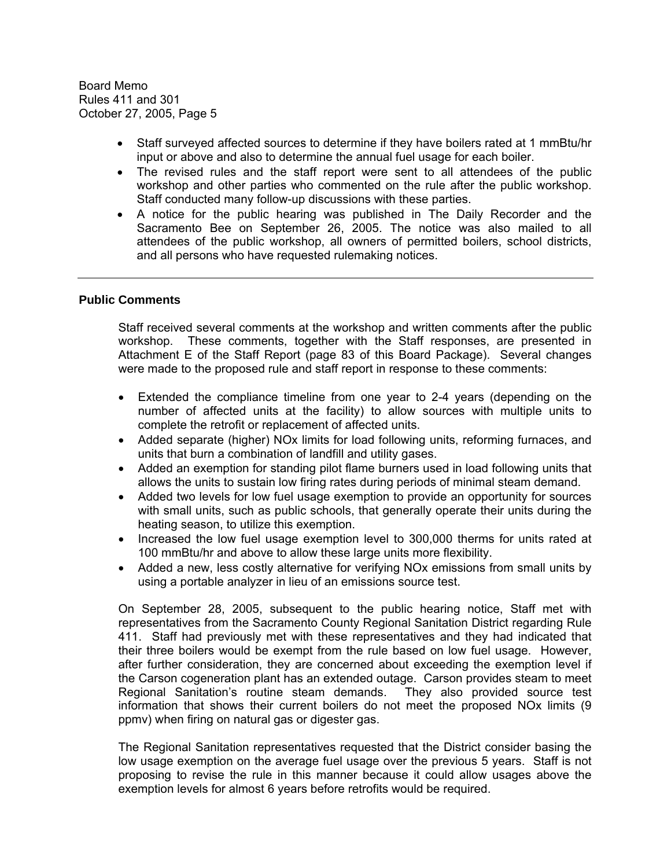- Staff surveyed affected sources to determine if they have boilers rated at 1 mmBtu/hr input or above and also to determine the annual fuel usage for each boiler.
- The revised rules and the staff report were sent to all attendees of the public workshop and other parties who commented on the rule after the public workshop. Staff conducted many follow-up discussions with these parties.
- A notice for the public hearing was published in The Daily Recorder and the Sacramento Bee on September 26, 2005. The notice was also mailed to all attendees of the public workshop, all owners of permitted boilers, school districts, and all persons who have requested rulemaking notices.

## **Public Comments**

Staff received several comments at the workshop and written comments after the public workshop. These comments, together with the Staff responses, are presented in Attachment E of the Staff Report (page 83 of this Board Package). Several changes were made to the proposed rule and staff report in response to these comments:

- Extended the compliance timeline from one year to 2-4 years (depending on the number of affected units at the facility) to allow sources with multiple units to complete the retrofit or replacement of affected units.
- Added separate (higher) NOx limits for load following units, reforming furnaces, and units that burn a combination of landfill and utility gases.
- Added an exemption for standing pilot flame burners used in load following units that allows the units to sustain low firing rates during periods of minimal steam demand.
- Added two levels for low fuel usage exemption to provide an opportunity for sources with small units, such as public schools, that generally operate their units during the heating season, to utilize this exemption.
- Increased the low fuel usage exemption level to 300,000 therms for units rated at 100 mmBtu/hr and above to allow these large units more flexibility.
- Added a new, less costly alternative for verifying NOx emissions from small units by using a portable analyzer in lieu of an emissions source test.

On September 28, 2005, subsequent to the public hearing notice, Staff met with representatives from the Sacramento County Regional Sanitation District regarding Rule 411. Staff had previously met with these representatives and they had indicated that their three boilers would be exempt from the rule based on low fuel usage. However, after further consideration, they are concerned about exceeding the exemption level if the Carson cogeneration plant has an extended outage. Carson provides steam to meet Regional Sanitation's routine steam demands. They also provided source test information that shows their current boilers do not meet the proposed NOx limits (9 ppmv) when firing on natural gas or digester gas.

The Regional Sanitation representatives requested that the District consider basing the low usage exemption on the average fuel usage over the previous 5 years. Staff is not proposing to revise the rule in this manner because it could allow usages above the exemption levels for almost 6 years before retrofits would be required.